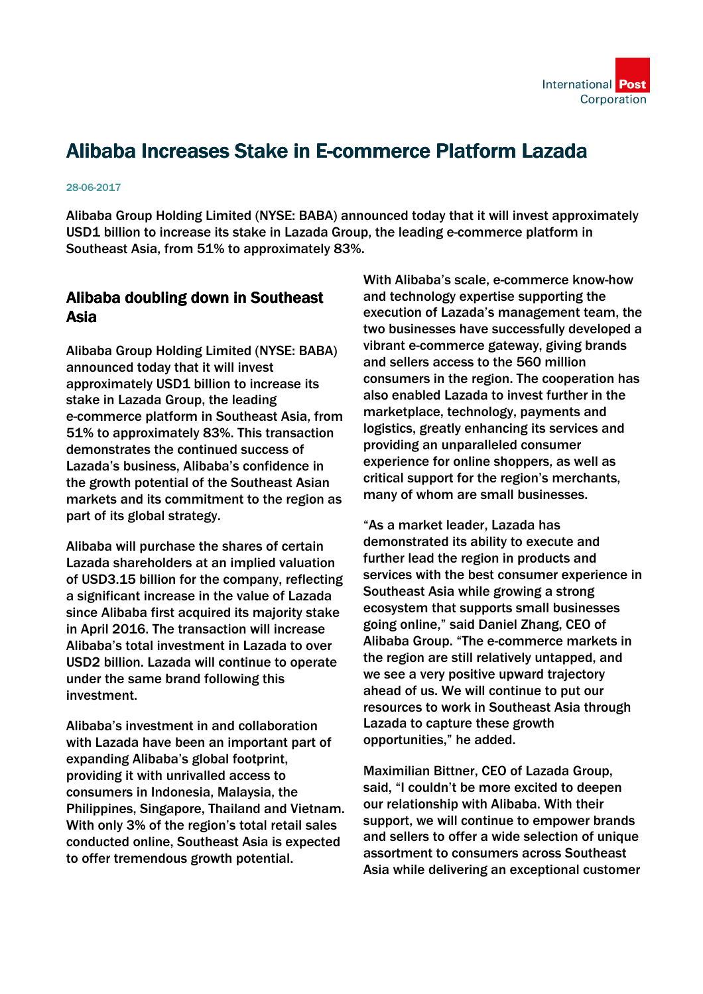# Alibaba Increases Stake in E-commerce Platform Lazada

#### 28-06-2017

Alibaba Group Holding Limited (NYSE: BABA) announced today that it will invest approximately USD1 billion to increase its stake in Lazada Group, the leading e-commerce platform in Southeast Asia, from 51% to approximately 83%.

#### Alibaba doubling down in Southeast Asia

Alibaba Group Holding Limited (NYSE: BABA) announced today that it will invest approximately USD1 billion to increase its stake in Lazada Group, the leading e-commerce platform in Southeast Asia, from 51% to approximately 83%. This transaction demonstrates the continued success of Lazada's business, Alibaba's confidence in the growth potential of the Southeast Asian markets and its commitment to the region as part of its global strategy.

Alibaba will purchase the shares of certain Lazada shareholders at an implied valuation of USD3.15 billion for the company, reflecting a significant increase in the value of Lazada since Alibaba first acquired its majority stake in April 2016. The transaction will increase Alibaba's total investment in Lazada to over USD2 billion. Lazada will continue to operate under the same brand following this investment.

Alibaba's investment in and collaboration with Lazada have been an important part of expanding Alibaba's global footprint, providing it with unrivalled access to consumers in Indonesia, Malaysia, the Philippines, Singapore, Thailand and Vietnam. With only 3% of the region's total retail sales conducted online, Southeast Asia is expected to offer tremendous growth potential.

With Alibaba's scale, e-commerce know-how and technology expertise supporting the execution of Lazada's management team, the two businesses have successfully developed a vibrant e-commerce gateway, giving brands and sellers access to the 560 million consumers in the region. The cooperation has also enabled Lazada to invest further in the marketplace, technology, payments and logistics, greatly enhancing its services and providing an unparalleled consumer experience for online shoppers, as well as critical support for the region's merchants, many of whom are small businesses.

"As a market leader, Lazada has demonstrated its ability to execute and further lead the region in products and services with the best consumer experience in Southeast Asia while growing a strong ecosystem that supports small businesses going online," said Daniel Zhang, CEO of Alibaba Group. "The e-commerce markets in the region are still relatively untapped, and we see a very positive upward trajectory ahead of us. We will continue to put our resources to work in Southeast Asia through Lazada to capture these growth opportunities," he added.

Maximilian Bittner, CEO of Lazada Group, said, "I couldn't be more excited to deepen our relationship with Alibaba. With their support, we will continue to empower brands and sellers to offer a wide selection of unique assortment to consumers across Southeast Asia while delivering an exceptional customer